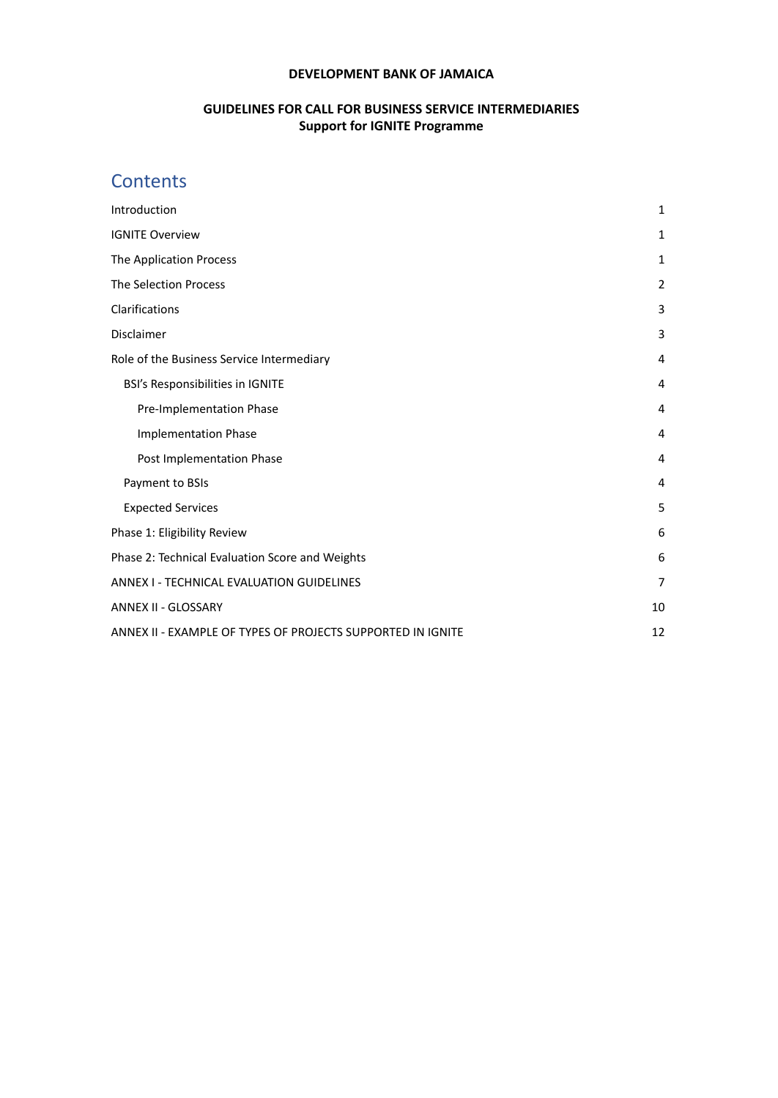#### **DEVELOPMENT BANK OF JAMAICA**

### **GUIDELINES FOR CALL FOR BUSINESS SERVICE INTERMEDIARIES Support for IGNITE Programme**

# **Contents**

| Introduction                                                | $\mathbf{1}$   |
|-------------------------------------------------------------|----------------|
| <b>IGNITE Overview</b>                                      | $\mathbf{1}$   |
| The Application Process                                     | $\mathbf{1}$   |
| <b>The Selection Process</b>                                | $\overline{2}$ |
| Clarifications                                              | 3              |
| Disclaimer                                                  | 3              |
| Role of the Business Service Intermediary                   | 4              |
| BSI's Responsibilities in IGNITE                            | 4              |
| Pre-Implementation Phase                                    | 4              |
| <b>Implementation Phase</b>                                 | 4              |
| Post Implementation Phase                                   | 4              |
| Payment to BSIs                                             | 4              |
| <b>Expected Services</b>                                    | 5              |
| Phase 1: Eligibility Review                                 | 6              |
| Phase 2: Technical Evaluation Score and Weights             | 6              |
| ANNEX I - TECHNICAL EVALUATION GUIDELINES                   | 7              |
| ANNEX II - GLOSSARY                                         | 10             |
| ANNEX II - EXAMPLE OF TYPES OF PROJECTS SUPPORTED IN IGNITE | 12             |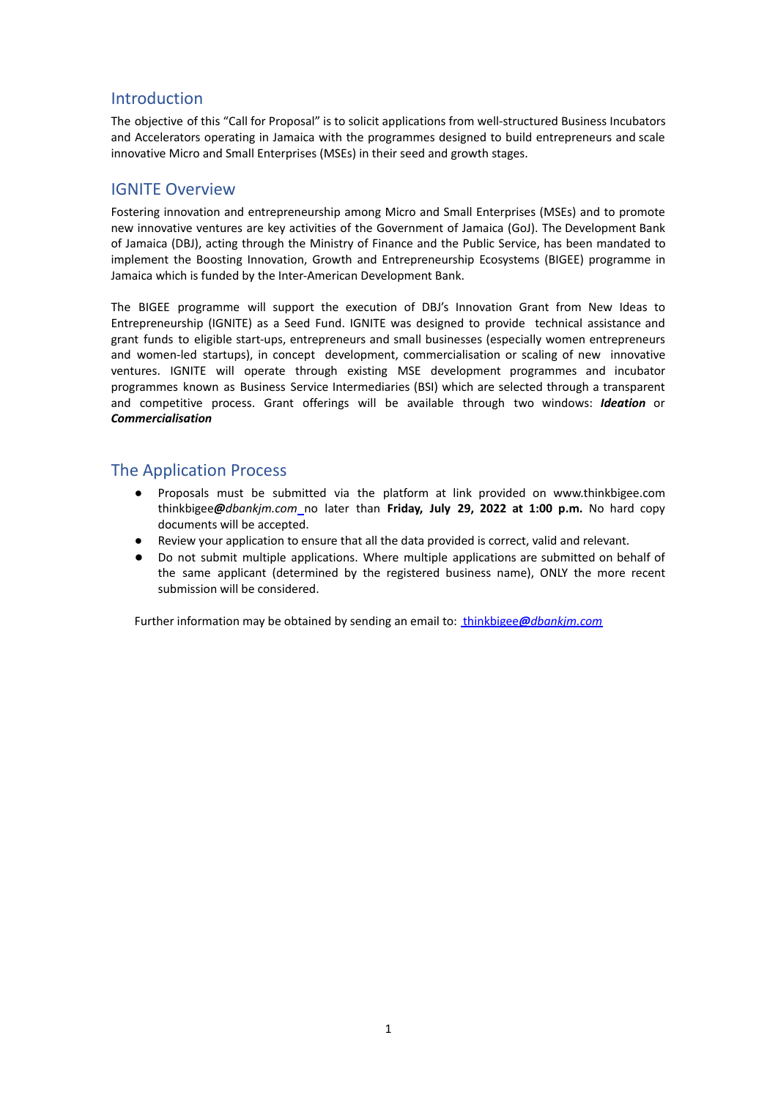## <span id="page-1-0"></span>Introduction

The objective of this "Call for Proposal" is to solicit applications from well-structured Business Incubators and Accelerators operating in Jamaica with the programmes designed to build entrepreneurs and scale innovative Micro and Small Enterprises (MSEs) in their seed and growth stages.

### <span id="page-1-1"></span>IGNITE Overview

Fostering innovation and entrepreneurship among Micro and Small Enterprises (MSEs) and to promote new innovative ventures are key activities of the Government of Jamaica (GoJ). The Development Bank of Jamaica (DBJ), acting through the Ministry of Finance and the Public Service, has been mandated to implement the Boosting Innovation, Growth and Entrepreneurship Ecosystems (BIGEE) programme in Jamaica which is funded by the Inter-American Development Bank.

The BIGEE programme will support the execution of DBJ's Innovation Grant from New Ideas to Entrepreneurship (IGNITE) as a Seed Fund. IGNITE was designed to provide technical assistance and grant funds to eligible start-ups, entrepreneurs and small businesses (especially women entrepreneurs and women-led startups), in concept development, commercialisation or scaling of new innovative ventures. IGNITE will operate through existing MSE development programmes and incubator programmes known as Business Service Intermediaries (BSI) which are selected through a transparent and competitive process. Grant offerings will be available through two windows: *Ideation* or *Commercialisation*

### <span id="page-1-2"></span>The Application Process

- Proposals must be submitted via the platform at link provided on www.thinkbigee.com thinkbigee*@[dbankjm.com](mailto:%20thinkbigee@dbankjm.com)* no later than **Friday, July 29, 2022 at 1:00 p.m.** No hard copy documents will be accepted.
- Review your application to ensure that all the data provided is correct, valid and relevant.
- **●** Do not submit multiple applications. Where multiple applications are submitted on behalf of the same applicant (determined by the registered business name), ONLY the more recent submission will be considered.

Further information may be obtained by sending an email to: thinkbigee*@[dbankjm.com](mailto:%20thinkbigee@dbankjm.com)*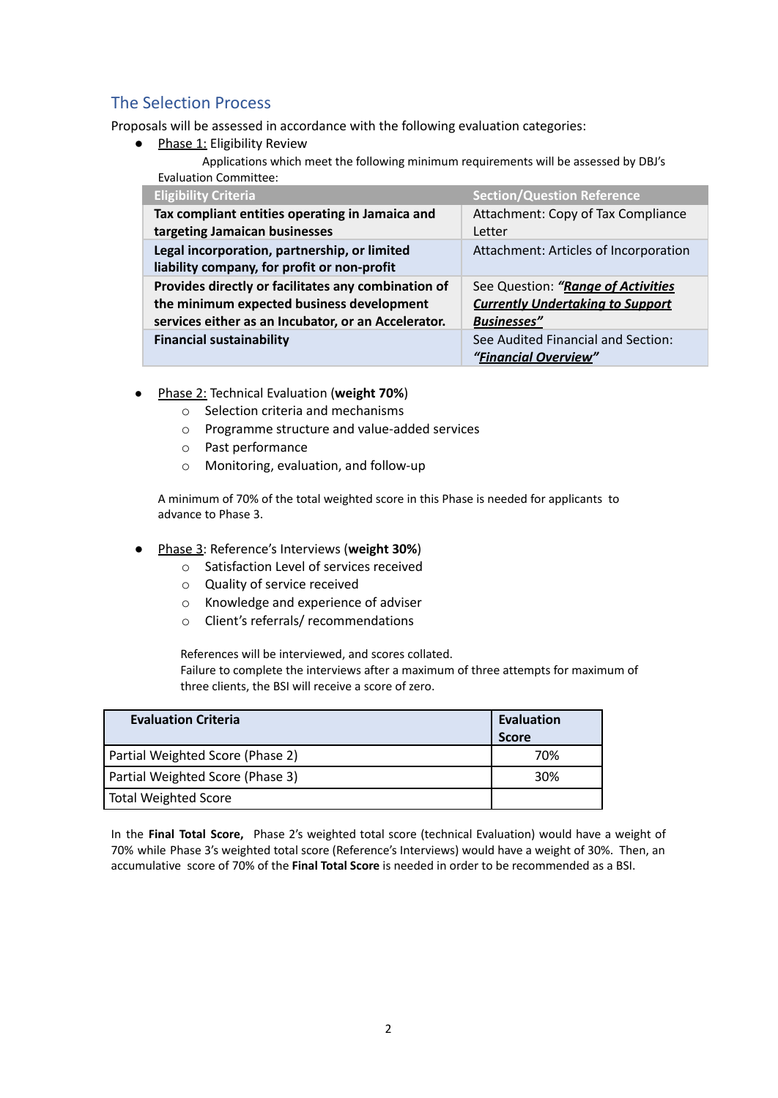## <span id="page-2-0"></span>The Selection Process

Proposals will be assessed in accordance with the following evaluation categories:

● Phase 1: Eligibility Review

Applications which meet the following minimum requirements will be assessed by DBJ's Evaluation Committee:

| <b>Eligibility Criteria</b>                         | <b>Section/Question Reference</b>       |
|-----------------------------------------------------|-----------------------------------------|
| Tax compliant entities operating in Jamaica and     | Attachment: Copy of Tax Compliance      |
| targeting Jamaican businesses                       | Letter                                  |
| Legal incorporation, partnership, or limited        | Attachment: Articles of Incorporation   |
| liability company, for profit or non-profit         |                                         |
| Provides directly or facilitates any combination of | See Question: "Range of Activities      |
| the minimum expected business development           | <b>Currently Undertaking to Support</b> |
| services either as an Incubator, or an Accelerator. | <b>Businesses"</b>                      |
| <b>Financial sustainability</b>                     | See Audited Financial and Section:      |
|                                                     | "Financial Overview"                    |

- Phase 2: Technical Evaluation (**weight 70%**)
	- o Selection criteria and mechanisms
	- o Programme structure and value-added services
	- o Past performance
	- o Monitoring, evaluation, and follow-up

A minimum of 70% of the total weighted score in this Phase is needed for applicants to advance to Phase 3.

- Phase 3: Reference's Interviews (**weight 30%**)
	- o Satisfaction Level of services received
	- o Quality of service received
	- o Knowledge and experience of adviser
	- o Client's referrals/ recommendations

References will be interviewed, and scores collated. Failure to complete the interviews after a maximum of three attempts for maximum of three clients, the BSI will receive a score of zero.

| <b>Evaluation Criteria</b>       | <b>Evaluation</b><br><b>Score</b> |
|----------------------------------|-----------------------------------|
| Partial Weighted Score (Phase 2) | 70%                               |
| Partial Weighted Score (Phase 3) | 30%                               |
| <b>Total Weighted Score</b>      |                                   |

In the **Final Total Score,** Phase 2's weighted total score (technical Evaluation) would have a weight of 70% while Phase 3's weighted total score (Reference's Interviews) would have a weight of 30%. Then, an accumulative score of 70% of the **Final Total Score** is needed in order to be recommended as a BSI.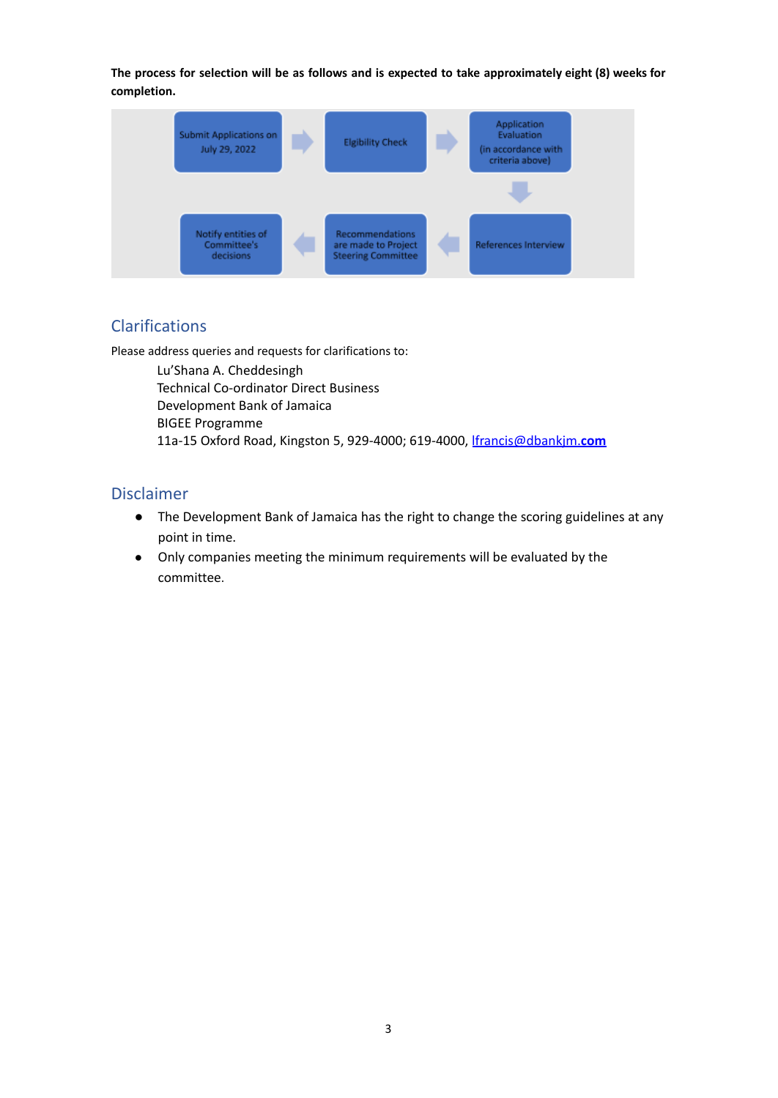The process for selection will be as follows and is expected to take approximately eight (8) weeks for **completion.**



## <span id="page-3-0"></span>Clarifications

Please address queries and requests for clarifications to:

Lu'Shana A. Cheddesingh Technical Co-ordinator Direct Business Development Bank of Jamaica BIGEE Programme 11a-15 Oxford Road, Kingston 5, 929-4000; 619-4000, [lfrancis@dbankjm.](mailto:lfrancis@dbankjm.com)**com**

## <span id="page-3-1"></span>Disclaimer

- The Development Bank of Jamaica has the right to change the scoring guidelines at any point in time.
- Only companies meeting the minimum requirements will be evaluated by the committee.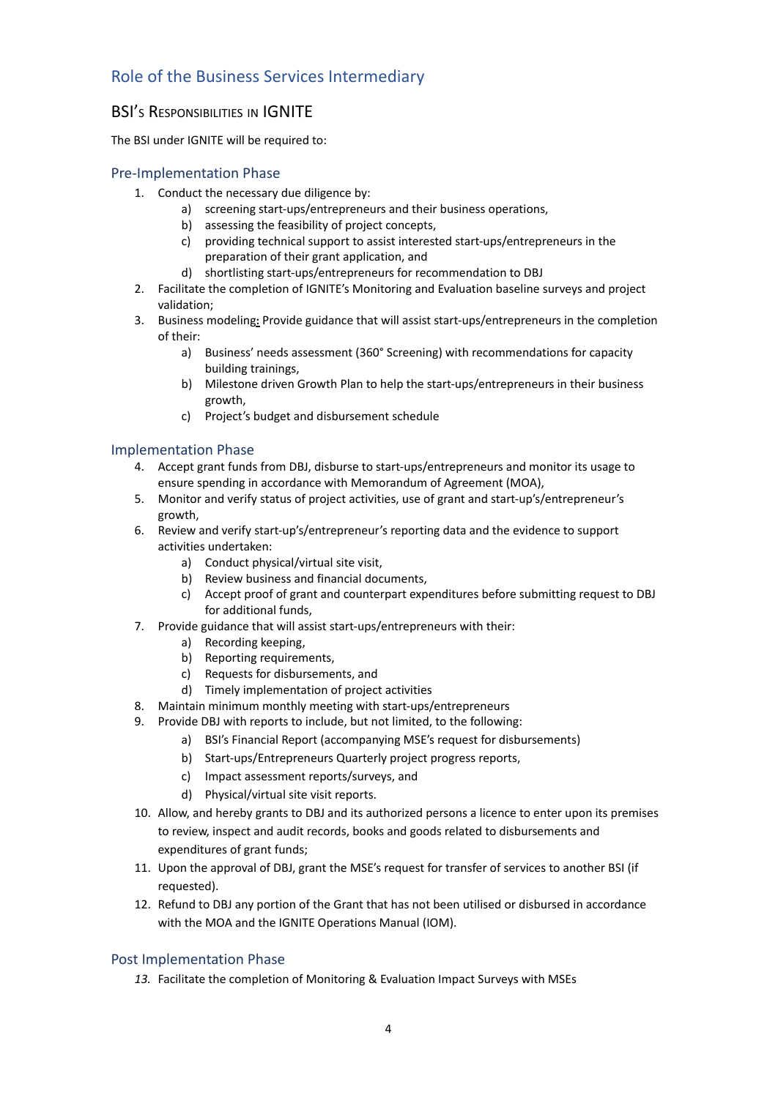# <span id="page-4-0"></span>Role of the Business Services Intermediary

## <span id="page-4-1"></span>**BSI's RESPONSIBILITIES IN IGNITE**

The BSI under IGNITE will be required to:

#### <span id="page-4-2"></span>Pre-Implementation Phase

- 1. Conduct the necessary due diligence by:
	- a) screening start-ups/entrepreneurs and their business operations,
	- b) assessing the feasibility of project concepts,
	- c) providing technical support to assist interested start-ups/entrepreneurs in the preparation of their grant application, and
	- d) shortlisting start-ups/entrepreneurs for recommendation to DBJ
- 2. Facilitate the completion of IGNITE's Monitoring and Evaluation baseline surveys and project validation;
- 3. Business modeling**:** Provide guidance that will assist start-ups/entrepreneurs in the completion of their:
	- a) Business' needs assessment (360° Screening) with recommendations for capacity building trainings,
	- b) Milestone driven Growth Plan to help the start-ups/entrepreneurs in their business growth,
	- c) Project's budget and disbursement schedule

#### <span id="page-4-3"></span>Implementation Phase

- 4. Accept grant funds from DBJ, disburse to start-ups/entrepreneurs and monitor its usage to ensure spending in accordance with Memorandum of Agreement (MOA),
- 5. Monitor and verify status of project activities, use of grant and start-up's/entrepreneur's growth,
- 6. Review and verify start-up's/entrepreneur's reporting data and the evidence to support activities undertaken:
	- a) Conduct physical/virtual site visit,
	- b) Review business and financial documents,
	- c) Accept proof of grant and counterpart expenditures before submitting request to DBJ for additional funds,
- 7. Provide guidance that will assist start-ups/entrepreneurs with their:
	- a) Recording keeping,
	- b) Reporting requirements,
	- c) Requests for disbursements, and
	- d) Timely implementation of project activities
- 8. Maintain minimum monthly meeting with start-ups/entrepreneurs
- 9. Provide DBJ with reports to include, but not limited, to the following:
	- a) BSI's Financial Report (accompanying MSE's request for disbursements)
	- b) Start-ups/Entrepreneurs Quarterly project progress reports,
	- c) Impact assessment reports/surveys, and
	- d) Physical/virtual site visit reports.
- 10. Allow, and hereby grants to DBJ and its authorized persons a licence to enter upon its premises to review, inspect and audit records, books and goods related to disbursements and expenditures of grant funds;
- 11. Upon the approval of DBJ, grant the MSE's request for transfer of services to another BSI (if requested).
- 12. Refund to DBJ any portion of the Grant that has not been utilised or disbursed in accordance with the MOA and the IGNITE Operations Manual (IOM).

#### <span id="page-4-4"></span>Post Implementation Phase

*13.* Facilitate the completion of Monitoring & Evaluation Impact Surveys with MSEs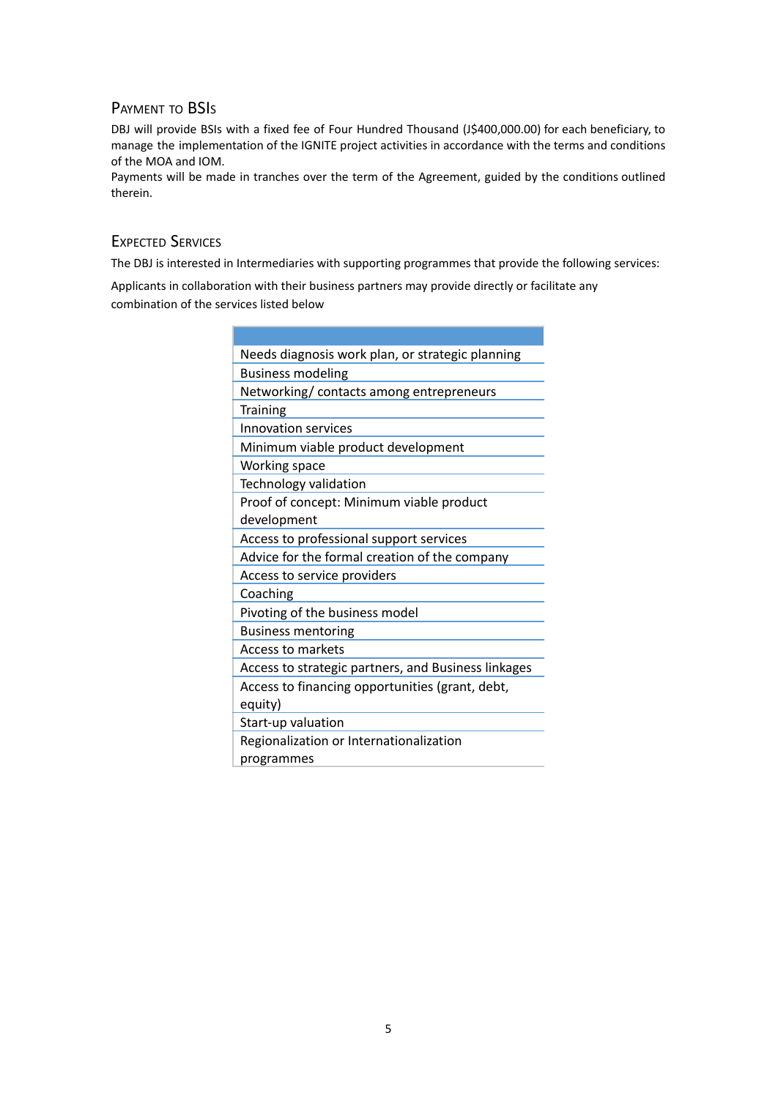### <span id="page-5-0"></span>PAYMENT TO BSI<sup>S</sup>

DBJ will provide BSIs with a fixed fee of Four Hundred Thousand (J\$400,000.00) for each beneficiary, to manage the implementation of the IGNITE project activities in accordance with the terms and conditions of the MOA and IOM.

Payments will be made in tranches over the term of the Agreement, guided by the conditions outlined therein.

### <span id="page-5-1"></span>EXPECTED SERVICES

The DBJ is interested in Intermediaries with supporting programmes that provide the following services:

Applicants in collaboration with their business partners may provide directly or facilitate any combination of the services listed below

| Needs diagnosis work plan, or strategic planning    |
|-----------------------------------------------------|
| <b>Business modeling</b>                            |
| Networking/ contacts among entrepreneurs            |
| <b>Training</b>                                     |
| Innovation services                                 |
| Minimum viable product development                  |
| Working space                                       |
| Technology validation                               |
| Proof of concept: Minimum viable product            |
| development                                         |
| Access to professional support services             |
| Advice for the formal creation of the company       |
| Access to service providers                         |
| Coaching                                            |
| Pivoting of the business model                      |
| <b>Business mentoring</b>                           |
| <b>Access to markets</b>                            |
| Access to strategic partners, and Business linkages |
| Access to financing opportunities (grant, debt,     |
| equity)                                             |
| Start-up valuation                                  |
| Regionalization or Internationalization             |
| programmes                                          |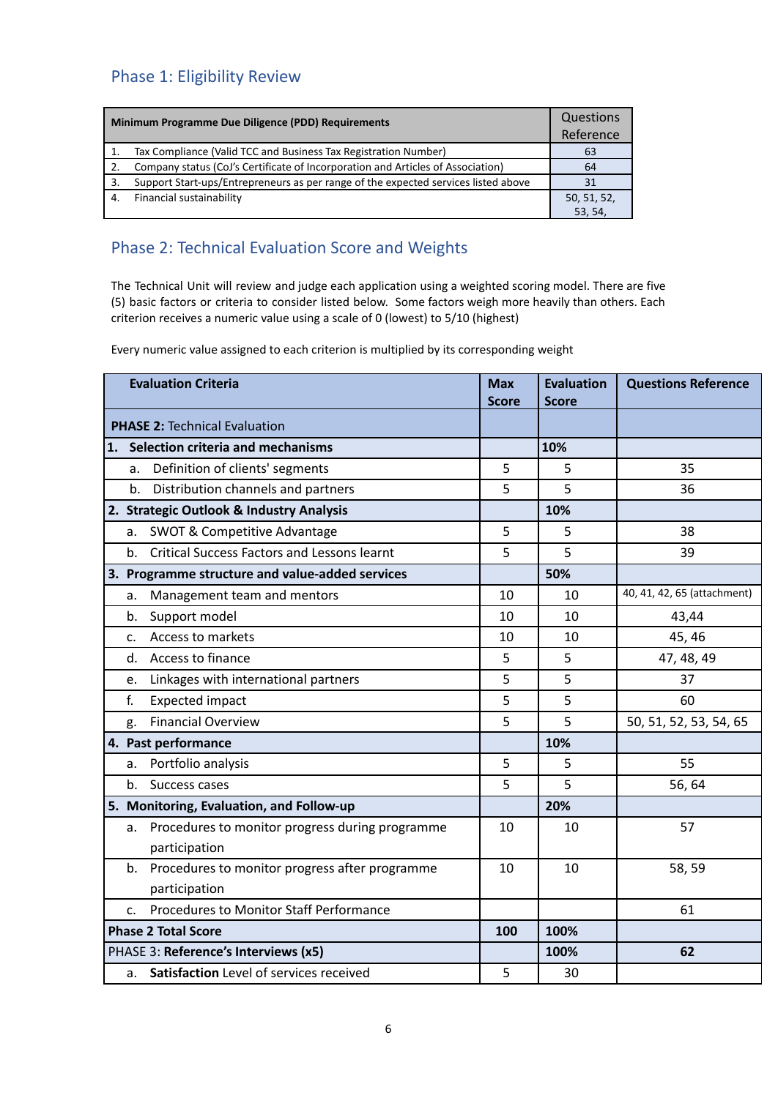# <span id="page-6-0"></span>Phase 1: Eligibility Review

| Minimum Programme Due Diligence (PDD) Requirements |                                                                                    | Questions   |
|----------------------------------------------------|------------------------------------------------------------------------------------|-------------|
|                                                    |                                                                                    | Reference   |
|                                                    | Tax Compliance (Valid TCC and Business Tax Registration Number)                    | 63          |
| 2.                                                 | Company status (CoJ's Certificate of Incorporation and Articles of Association)    | 64          |
| 3.                                                 | Support Start-ups/Entrepreneurs as per range of the expected services listed above | 31          |
| 4.                                                 | Financial sustainability                                                           | 50, 51, 52, |
|                                                    |                                                                                    | 53, 54      |

# Phase 2: Technical Evaluation Score and Weights

The Technical Unit will review and judge each application using a weighted scoring model. There are five (5) basic factors or criteria to consider listed below. Some factors weigh more heavily than others. Each criterion receives a numeric value using a scale of 0 (lowest) to 5/10 (highest)

Every numeric value assigned to each criterion is multiplied by its corresponding weight

| <b>Evaluation Criteria</b> |                | <b>Max</b><br><b>Score</b>                                       | <b>Evaluation</b><br><b>Score</b> | <b>Questions Reference</b> |                             |
|----------------------------|----------------|------------------------------------------------------------------|-----------------------------------|----------------------------|-----------------------------|
|                            |                | <b>PHASE 2: Technical Evaluation</b>                             |                                   |                            |                             |
|                            |                | 1. Selection criteria and mechanisms                             |                                   | 10%                        |                             |
|                            | a.             | Definition of clients' segments                                  | 5                                 | 5                          | 35                          |
|                            | b <sub>1</sub> | Distribution channels and partners                               | 5                                 | 5                          | 36                          |
|                            |                | 2. Strategic Outlook & Industry Analysis                         |                                   | 10%                        |                             |
|                            | а.             | <b>SWOT &amp; Competitive Advantage</b>                          | 5                                 | 5                          | 38                          |
|                            | b.             | <b>Critical Success Factors and Lessons learnt</b>               | 5                                 | 5                          | 39                          |
|                            |                | 3. Programme structure and value-added services                  |                                   | 50%                        |                             |
|                            | a.             | Management team and mentors                                      | 10                                | 10                         | 40, 41, 42, 65 (attachment) |
|                            | b.             | Support model                                                    | 10                                | 10                         | 43,44                       |
|                            | c.             | Access to markets                                                | 10                                | 10                         | 45, 46                      |
|                            |                | d. Access to finance                                             | 5                                 | 5                          | 47, 48, 49                  |
|                            | e.             | Linkages with international partners                             | 5                                 | 5                          | 37                          |
|                            | f.             | <b>Expected impact</b>                                           | 5                                 | 5                          | 60                          |
|                            | g.             | <b>Financial Overview</b>                                        | 5                                 | 5                          | 50, 51, 52, 53, 54, 65      |
|                            |                | 4. Past performance                                              |                                   | 10%                        |                             |
|                            | a.             | Portfolio analysis                                               | 5                                 | 5                          | 55                          |
|                            | b.             | Success cases                                                    | 5                                 | 5                          | 56, 64                      |
|                            |                | 5. Monitoring, Evaluation, and Follow-up                         |                                   | 20%                        |                             |
|                            | a.             | Procedures to monitor progress during programme<br>participation | 10                                | 10                         | 57                          |
|                            | b.             | Procedures to monitor progress after programme<br>participation  | 10                                | 10                         | 58, 59                      |
|                            | C <sub>1</sub> | Procedures to Monitor Staff Performance                          |                                   |                            | 61                          |
|                            |                | <b>Phase 2 Total Score</b>                                       | 100                               | 100%                       |                             |
|                            |                | PHASE 3: Reference's Interviews (x5)                             |                                   | 100%                       | 62                          |
|                            | a.             | Satisfaction Level of services received                          | 5                                 | 30                         |                             |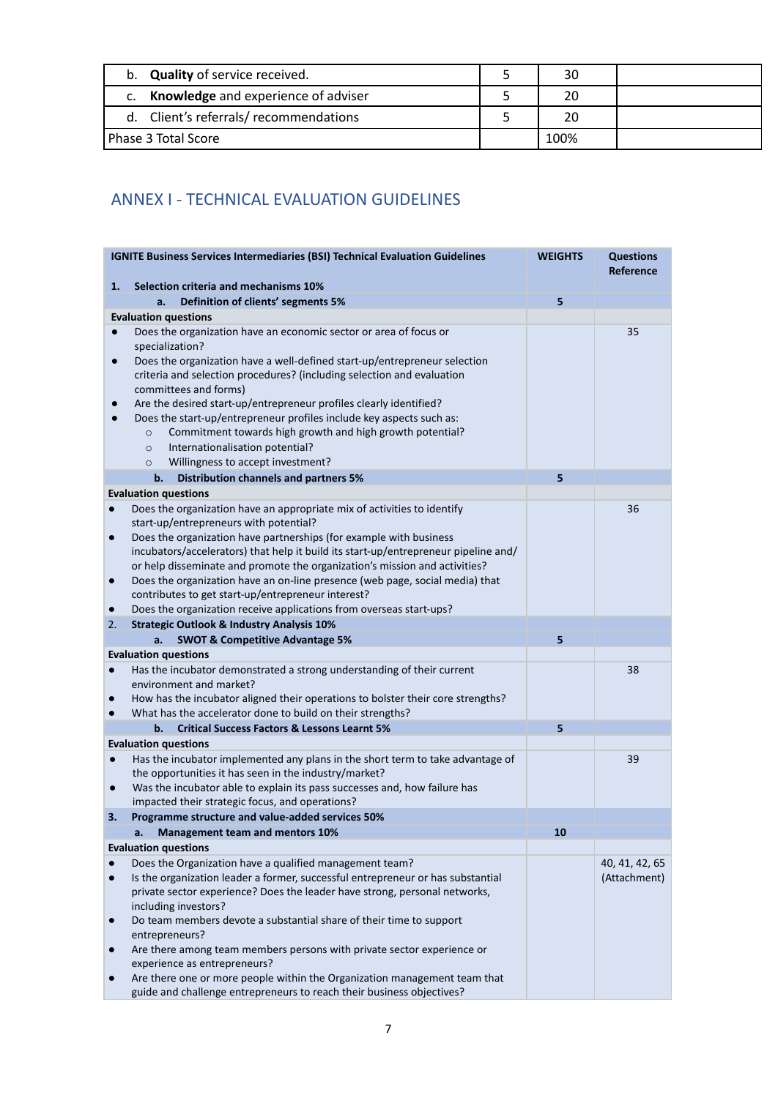| b. Quality of service received.        | 30   |  |
|----------------------------------------|------|--|
| c. Knowledge and experience of adviser | 20   |  |
| d. Client's referrals/recommendations  | 20   |  |
| Phase 3 Total Score                    | 100% |  |

# <span id="page-7-0"></span>ANNEX I - TECHNICAL EVALUATION GUIDELINES

|           | <b>IGNITE Business Services Intermediaries (BSI) Technical Evaluation Guidelines</b>                                                                      | <b>WEIGHTS</b> | <b>Questions</b><br>Reference |
|-----------|-----------------------------------------------------------------------------------------------------------------------------------------------------------|----------------|-------------------------------|
| 1.        | Selection criteria and mechanisms 10%                                                                                                                     |                |                               |
|           | Definition of clients' segments 5%<br>a.                                                                                                                  | 5              |                               |
|           | <b>Evaluation questions</b>                                                                                                                               |                |                               |
|           | Does the organization have an economic sector or area of focus or                                                                                         |                | 35                            |
|           | specialization?                                                                                                                                           |                |                               |
| $\bullet$ | Does the organization have a well-defined start-up/entrepreneur selection                                                                                 |                |                               |
|           | criteria and selection procedures? (including selection and evaluation                                                                                    |                |                               |
|           | committees and forms)                                                                                                                                     |                |                               |
|           | Are the desired start-up/entrepreneur profiles clearly identified?                                                                                        |                |                               |
|           | Does the start-up/entrepreneur profiles include key aspects such as:                                                                                      |                |                               |
|           | Commitment towards high growth and high growth potential?<br>$\circ$                                                                                      |                |                               |
|           | Internationalisation potential?<br>$\circ$                                                                                                                |                |                               |
|           | Willingness to accept investment?<br>$\circ$                                                                                                              |                |                               |
|           | <b>Distribution channels and partners 5%</b><br>b.                                                                                                        | 5              |                               |
|           | <b>Evaluation questions</b>                                                                                                                               |                |                               |
| $\bullet$ | Does the organization have an appropriate mix of activities to identify                                                                                   |                | 36                            |
|           | start-up/entrepreneurs with potential?                                                                                                                    |                |                               |
| $\bullet$ | Does the organization have partnerships (for example with business<br>incubators/accelerators) that help it build its start-up/entrepreneur pipeline and/ |                |                               |
|           | or help disseminate and promote the organization's mission and activities?                                                                                |                |                               |
| $\bullet$ | Does the organization have an on-line presence (web page, social media) that                                                                              |                |                               |
|           | contributes to get start-up/entrepreneur interest?                                                                                                        |                |                               |
| $\bullet$ | Does the organization receive applications from overseas start-ups?                                                                                       |                |                               |
| 2.        | <b>Strategic Outlook &amp; Industry Analysis 10%</b>                                                                                                      |                |                               |
|           | <b>SWOT &amp; Competitive Advantage 5%</b><br>a.                                                                                                          | 5              |                               |
|           | <b>Evaluation questions</b>                                                                                                                               |                |                               |
| $\bullet$ | Has the incubator demonstrated a strong understanding of their current                                                                                    |                | 38                            |
|           | environment and market?                                                                                                                                   |                |                               |
| $\bullet$ | How has the incubator aligned their operations to bolster their core strengths?                                                                           |                |                               |
| $\bullet$ | What has the accelerator done to build on their strengths?                                                                                                |                |                               |
|           | <b>Critical Success Factors &amp; Lessons Learnt 5%</b><br>b.                                                                                             | 5              |                               |
|           | <b>Evaluation questions</b>                                                                                                                               |                |                               |
| $\bullet$ | Has the incubator implemented any plans in the short term to take advantage of                                                                            |                | 39                            |
|           | the opportunities it has seen in the industry/market?                                                                                                     |                |                               |
| $\bullet$ | Was the incubator able to explain its pass successes and, how failure has                                                                                 |                |                               |
|           | impacted their strategic focus, and operations?                                                                                                           |                |                               |
| 3.        | Programme structure and value-added services 50%                                                                                                          |                |                               |
|           | а.<br><b>Management team and mentors 10%</b>                                                                                                              | 10             |                               |
|           | <b>Evaluation questions</b>                                                                                                                               |                |                               |
| $\bullet$ | Does the Organization have a qualified management team?<br>Is the organization leader a former, successful entrepreneur or has substantial                |                | 40, 41, 42, 65                |
|           | private sector experience? Does the leader have strong, personal networks,                                                                                |                | (Attachment)                  |
|           | including investors?                                                                                                                                      |                |                               |
| $\bullet$ | Do team members devote a substantial share of their time to support                                                                                       |                |                               |
|           | entrepreneurs?                                                                                                                                            |                |                               |
| $\bullet$ | Are there among team members persons with private sector experience or                                                                                    |                |                               |
|           | experience as entrepreneurs?                                                                                                                              |                |                               |
| $\bullet$ | Are there one or more people within the Organization management team that                                                                                 |                |                               |
|           | guide and challenge entrepreneurs to reach their business objectives?                                                                                     |                |                               |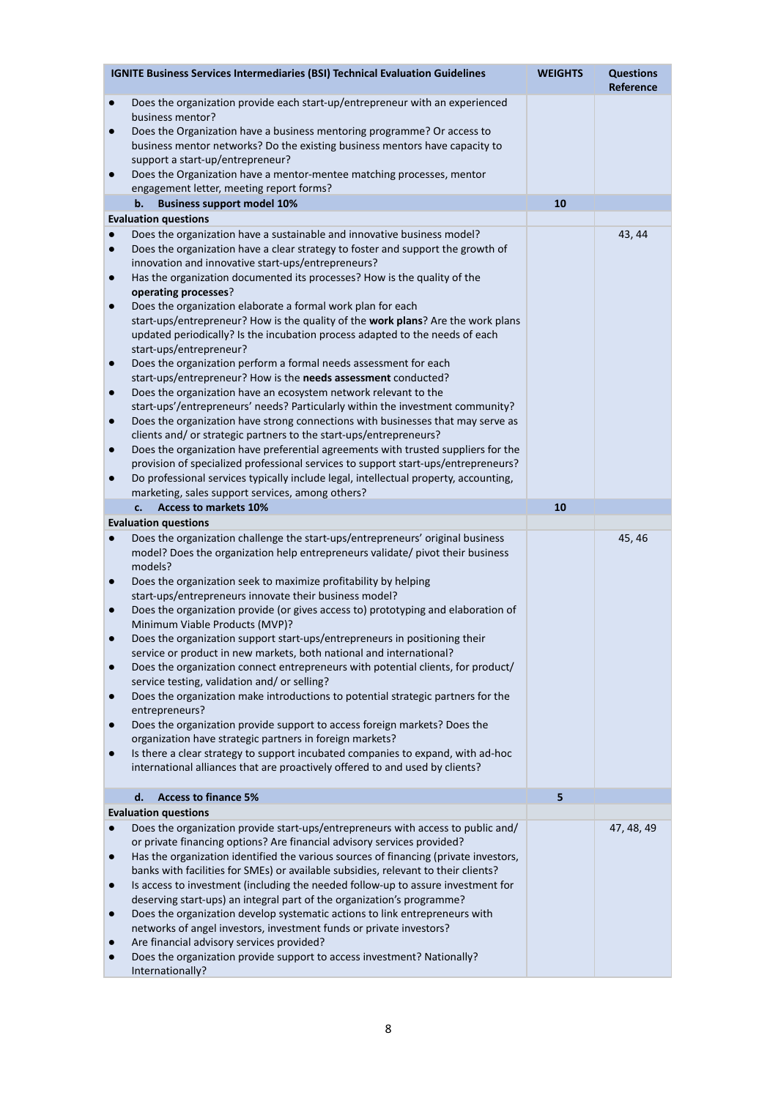|                        | <b>IGNITE Business Services Intermediaries (BSI) Technical Evaluation Guidelines</b>                                                                        | <b>WEIGHTS</b> | <b>Questions</b><br>Reference |
|------------------------|-------------------------------------------------------------------------------------------------------------------------------------------------------------|----------------|-------------------------------|
| $\bullet$              | Does the organization provide each start-up/entrepreneur with an experienced<br>business mentor?                                                            |                |                               |
| $\bullet$              | Does the Organization have a business mentoring programme? Or access to                                                                                     |                |                               |
|                        | business mentor networks? Do the existing business mentors have capacity to                                                                                 |                |                               |
| $\bullet$              | support a start-up/entrepreneur?<br>Does the Organization have a mentor-mentee matching processes, mentor                                                   |                |                               |
|                        | engagement letter, meeting report forms?                                                                                                                    |                |                               |
|                        | b.<br><b>Business support model 10%</b>                                                                                                                     | 10             |                               |
|                        | <b>Evaluation questions</b>                                                                                                                                 |                |                               |
| $\bullet$<br>$\bullet$ | Does the organization have a sustainable and innovative business model?<br>Does the organization have a clear strategy to foster and support the growth of  |                | 43, 44                        |
|                        | innovation and innovative start-ups/entrepreneurs?                                                                                                          |                |                               |
| $\bullet$              | Has the organization documented its processes? How is the quality of the                                                                                    |                |                               |
| $\bullet$              | operating processes?                                                                                                                                        |                |                               |
|                        | Does the organization elaborate a formal work plan for each<br>start-ups/entrepreneur? How is the quality of the work plans? Are the work plans             |                |                               |
|                        | updated periodically? Is the incubation process adapted to the needs of each                                                                                |                |                               |
|                        | start-ups/entrepreneur?                                                                                                                                     |                |                               |
| $\bullet$              | Does the organization perform a formal needs assessment for each<br>start-ups/entrepreneur? How is the needs assessment conducted?                          |                |                               |
| $\bullet$              | Does the organization have an ecosystem network relevant to the                                                                                             |                |                               |
|                        | start-ups'/entrepreneurs' needs? Particularly within the investment community?                                                                              |                |                               |
| $\bullet$              | Does the organization have strong connections with businesses that may serve as                                                                             |                |                               |
| $\bullet$              | clients and/ or strategic partners to the start-ups/entrepreneurs?<br>Does the organization have preferential agreements with trusted suppliers for the     |                |                               |
|                        | provision of specialized professional services to support start-ups/entrepreneurs?                                                                          |                |                               |
| $\bullet$              | Do professional services typically include legal, intellectual property, accounting,                                                                        |                |                               |
|                        | marketing, sales support services, among others?<br><b>Access to markets 10%</b><br>$c_{\cdot}$                                                             | 10             |                               |
|                        | <b>Evaluation questions</b>                                                                                                                                 |                |                               |
| $\bullet$              | Does the organization challenge the start-ups/entrepreneurs' original business                                                                              |                | 45, 46                        |
|                        | model? Does the organization help entrepreneurs validate/ pivot their business<br>models?                                                                   |                |                               |
| $\bullet$              | Does the organization seek to maximize profitability by helping                                                                                             |                |                               |
|                        | start-ups/entrepreneurs innovate their business model?                                                                                                      |                |                               |
| $\bullet$              | Does the organization provide (or gives access to) prototyping and elaboration of<br>Minimum Viable Products (MVP)?                                         |                |                               |
| $\bullet$              | Does the organization support start-ups/entrepreneurs in positioning their                                                                                  |                |                               |
|                        | service or product in new markets, both national and international?                                                                                         |                |                               |
| $\bullet$              | Does the organization connect entrepreneurs with potential clients, for product/<br>service testing, validation and/ or selling?                            |                |                               |
| $\bullet$              | Does the organization make introductions to potential strategic partners for the                                                                            |                |                               |
|                        | entrepreneurs?                                                                                                                                              |                |                               |
| $\bullet$              | Does the organization provide support to access foreign markets? Does the<br>organization have strategic partners in foreign markets?                       |                |                               |
| $\bullet$              | Is there a clear strategy to support incubated companies to expand, with ad-hoc                                                                             |                |                               |
|                        | international alliances that are proactively offered to and used by clients?                                                                                |                |                               |
|                        | <b>Access to finance 5%</b><br>d.                                                                                                                           | 5              |                               |
|                        | <b>Evaluation questions</b>                                                                                                                                 |                |                               |
| $\bullet$              | Does the organization provide start-ups/entrepreneurs with access to public and/<br>or private financing options? Are financial advisory services provided? |                | 47, 48, 49                    |
| $\bullet$              | Has the organization identified the various sources of financing (private investors,                                                                        |                |                               |
|                        | banks with facilities for SMEs) or available subsidies, relevant to their clients?                                                                          |                |                               |
| $\bullet$              | Is access to investment (including the needed follow-up to assure investment for                                                                            |                |                               |
| $\bullet$              | deserving start-ups) an integral part of the organization's programme?<br>Does the organization develop systematic actions to link entrepreneurs with       |                |                               |
|                        | networks of angel investors, investment funds or private investors?                                                                                         |                |                               |
| $\bullet$              | Are financial advisory services provided?                                                                                                                   |                |                               |
| $\bullet$              | Does the organization provide support to access investment? Nationally?<br>Internationally?                                                                 |                |                               |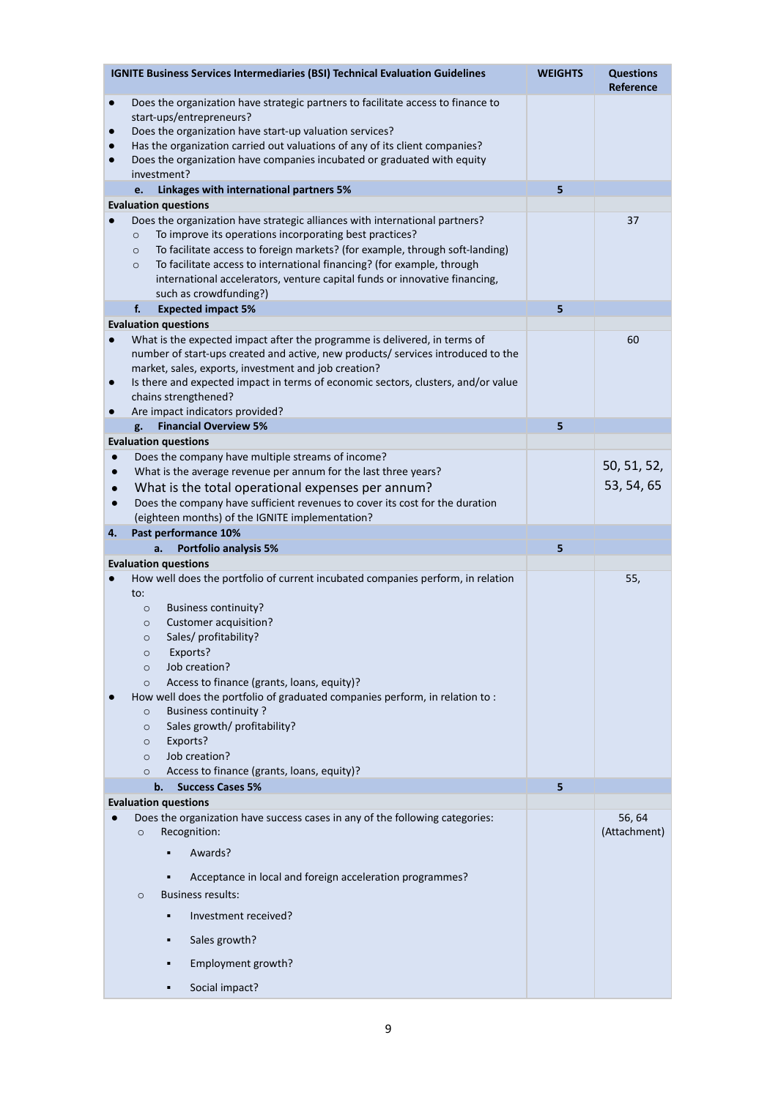|                                                  | <b>IGNITE Business Services Intermediaries (BSI) Technical Evaluation Guidelines</b>                                                                                                                                                                                                                                                                                                                                                                                                                                                                                                                         | <b>WEIGHTS</b> | <b>Questions</b><br><b>Reference</b> |
|--------------------------------------------------|--------------------------------------------------------------------------------------------------------------------------------------------------------------------------------------------------------------------------------------------------------------------------------------------------------------------------------------------------------------------------------------------------------------------------------------------------------------------------------------------------------------------------------------------------------------------------------------------------------------|----------------|--------------------------------------|
| $\bullet$<br>$\bullet$<br>$\bullet$<br>$\bullet$ | Does the organization have strategic partners to facilitate access to finance to<br>start-ups/entrepreneurs?<br>Does the organization have start-up valuation services?<br>Has the organization carried out valuations of any of its client companies?<br>Does the organization have companies incubated or graduated with equity<br>investment?                                                                                                                                                                                                                                                             | 5              |                                      |
|                                                  | Linkages with international partners 5%<br>e.<br><b>Evaluation questions</b>                                                                                                                                                                                                                                                                                                                                                                                                                                                                                                                                 |                |                                      |
|                                                  | Does the organization have strategic alliances with international partners?<br>To improve its operations incorporating best practices?<br>$\circ$<br>To facilitate access to foreign markets? (for example, through soft-landing)<br>$\circ$<br>To facilitate access to international financing? (for example, through<br>$\circ$<br>international accelerators, venture capital funds or innovative financing,<br>such as crowdfunding?)                                                                                                                                                                    |                | 37                                   |
|                                                  | f.<br><b>Expected impact 5%</b>                                                                                                                                                                                                                                                                                                                                                                                                                                                                                                                                                                              | 5              |                                      |
| $\bullet$<br>$\bullet$<br>$\bullet$              | <b>Evaluation questions</b><br>What is the expected impact after the programme is delivered, in terms of<br>number of start-ups created and active, new products/ services introduced to the<br>market, sales, exports, investment and job creation?<br>Is there and expected impact in terms of economic sectors, clusters, and/or value<br>chains strengthened?<br>Are impact indicators provided?                                                                                                                                                                                                         |                | 60                                   |
|                                                  | <b>Financial Overview 5%</b><br>g.                                                                                                                                                                                                                                                                                                                                                                                                                                                                                                                                                                           | 5              |                                      |
|                                                  | <b>Evaluation questions</b>                                                                                                                                                                                                                                                                                                                                                                                                                                                                                                                                                                                  |                |                                      |
| $\bullet$<br>$\bullet$<br>$\bullet$<br>$\bullet$ | Does the company have multiple streams of income?<br>What is the average revenue per annum for the last three years?<br>What is the total operational expenses per annum?<br>Does the company have sufficient revenues to cover its cost for the duration<br>(eighteen months) of the IGNITE implementation?                                                                                                                                                                                                                                                                                                 |                | 50, 51, 52,<br>53, 54, 65            |
| 4.                                               | Past performance 10%                                                                                                                                                                                                                                                                                                                                                                                                                                                                                                                                                                                         |                |                                      |
|                                                  | Portfolio analysis 5%<br>a.<br><b>Evaluation questions</b>                                                                                                                                                                                                                                                                                                                                                                                                                                                                                                                                                   | 5              |                                      |
| $\bullet$                                        | How well does the portfolio of current incubated companies perform, in relation<br>to:<br><b>Business continuity?</b><br>$\circ$<br><b>Customer acquisition?</b><br>$\circ$<br>Sales/ profitability?<br>$\circ$<br>Exports?<br>$\circ$<br>Job creation?<br>$\circ$<br>Access to finance (grants, loans, equity)?<br>$\circ$<br>How well does the portfolio of graduated companies perform, in relation to :<br><b>Business continuity?</b><br>$\circ$<br>Sales growth/ profitability?<br>$\circ$<br>Exports?<br>$\circ$<br>Job creation?<br>$\circ$<br>Access to finance (grants, loans, equity)?<br>$\circ$ |                | 55,                                  |
|                                                  | b.<br><b>Success Cases 5%</b><br><b>Evaluation questions</b>                                                                                                                                                                                                                                                                                                                                                                                                                                                                                                                                                 | 5              |                                      |
|                                                  | Does the organization have success cases in any of the following categories:<br>Recognition:<br>$\circ$<br>Awards?<br>Acceptance in local and foreign acceleration programmes?<br><b>Business results:</b><br>$\circ$<br>Investment received?<br>Sales growth?<br>٠<br>Employment growth?<br>Social impact?                                                                                                                                                                                                                                                                                                  |                | 56, 64<br>(Attachment)               |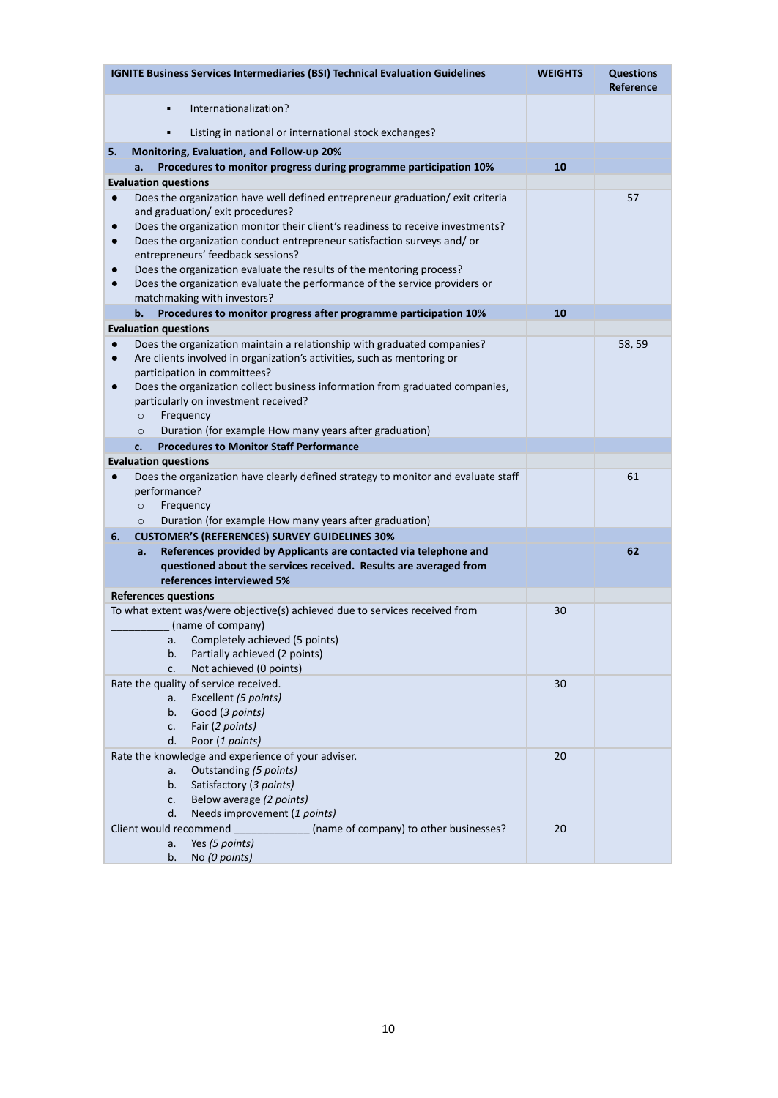| <b>IGNITE Business Services Intermediaries (BSI) Technical Evaluation Guidelines</b>                                                                                         | <b>WEIGHTS</b> | <b>Questions</b><br>Reference |
|------------------------------------------------------------------------------------------------------------------------------------------------------------------------------|----------------|-------------------------------|
| Internationalization?<br>٠                                                                                                                                                   |                |                               |
| Listing in national or international stock exchanges?<br>٠                                                                                                                   |                |                               |
| Monitoring, Evaluation, and Follow-up 20%<br>5.                                                                                                                              |                |                               |
| Procedures to monitor progress during programme participation 10%<br>a.                                                                                                      | 10             |                               |
| <b>Evaluation questions</b>                                                                                                                                                  |                |                               |
| Does the organization have well defined entrepreneur graduation/exit criteria<br>$\bullet$                                                                                   |                | 57                            |
| and graduation/exit procedures?                                                                                                                                              |                |                               |
| Does the organization monitor their client's readiness to receive investments?<br>$\bullet$                                                                                  |                |                               |
| Does the organization conduct entrepreneur satisfaction surveys and/ or<br>$\bullet$                                                                                         |                |                               |
| entrepreneurs' feedback sessions?                                                                                                                                            |                |                               |
| Does the organization evaluate the results of the mentoring process?<br>$\bullet$<br>Does the organization evaluate the performance of the service providers or<br>$\bullet$ |                |                               |
| matchmaking with investors?                                                                                                                                                  |                |                               |
| Procedures to monitor progress after programme participation 10%<br>b.                                                                                                       | 10             |                               |
| <b>Evaluation questions</b>                                                                                                                                                  |                |                               |
| Does the organization maintain a relationship with graduated companies?<br>$\bullet$                                                                                         |                | 58, 59                        |
| Are clients involved in organization's activities, such as mentoring or<br>$\bullet$                                                                                         |                |                               |
| participation in committees?                                                                                                                                                 |                |                               |
| Does the organization collect business information from graduated companies,<br>$\bullet$                                                                                    |                |                               |
| particularly on investment received?                                                                                                                                         |                |                               |
| Frequency<br>$\circ$                                                                                                                                                         |                |                               |
| Duration (for example How many years after graduation)<br>$\circ$                                                                                                            |                |                               |
| <b>Procedures to Monitor Staff Performance</b><br>c.                                                                                                                         |                |                               |
| <b>Evaluation questions</b>                                                                                                                                                  |                | 61                            |
| Does the organization have clearly defined strategy to monitor and evaluate staff<br>$\bullet$<br>performance?                                                               |                |                               |
| Frequency<br>$\circ$                                                                                                                                                         |                |                               |
| Duration (for example How many years after graduation)<br>$\circ$                                                                                                            |                |                               |
| <b>CUSTOMER'S (REFERENCES) SURVEY GUIDELINES 30%</b><br>6.                                                                                                                   |                |                               |
| References provided by Applicants are contacted via telephone and<br>a.                                                                                                      |                | 62                            |
| questioned about the services received. Results are averaged from                                                                                                            |                |                               |
| references interviewed 5%                                                                                                                                                    |                |                               |
| <b>References questions</b>                                                                                                                                                  |                |                               |
| To what extent was/were objective(s) achieved due to services received from                                                                                                  | 30             |                               |
| (name of company)                                                                                                                                                            |                |                               |
| Completely achieved (5 points)<br>a.                                                                                                                                         |                |                               |
| Partially achieved (2 points)<br>b.<br>Not achieved (0 points)<br>c.                                                                                                         |                |                               |
| Rate the quality of service received.                                                                                                                                        | 30             |                               |
| Excellent (5 points)<br>a.                                                                                                                                                   |                |                               |
| Good (3 points)<br>b.                                                                                                                                                        |                |                               |
| Fair (2 points)<br>c.                                                                                                                                                        |                |                               |
| Poor (1 points)<br>d.                                                                                                                                                        |                |                               |
| Rate the knowledge and experience of your adviser.                                                                                                                           | 20             |                               |
| Outstanding (5 points)<br>a.                                                                                                                                                 |                |                               |
| Satisfactory (3 points)<br>b.                                                                                                                                                |                |                               |
| Below average (2 points)<br>c.<br>d.<br>Needs improvement (1 points)                                                                                                         |                |                               |
| (name of company) to other businesses?<br>Client would recommend                                                                                                             | 20             |                               |
| Yes (5 points)<br>a.                                                                                                                                                         |                |                               |
| No (0 points)<br>b.                                                                                                                                                          |                |                               |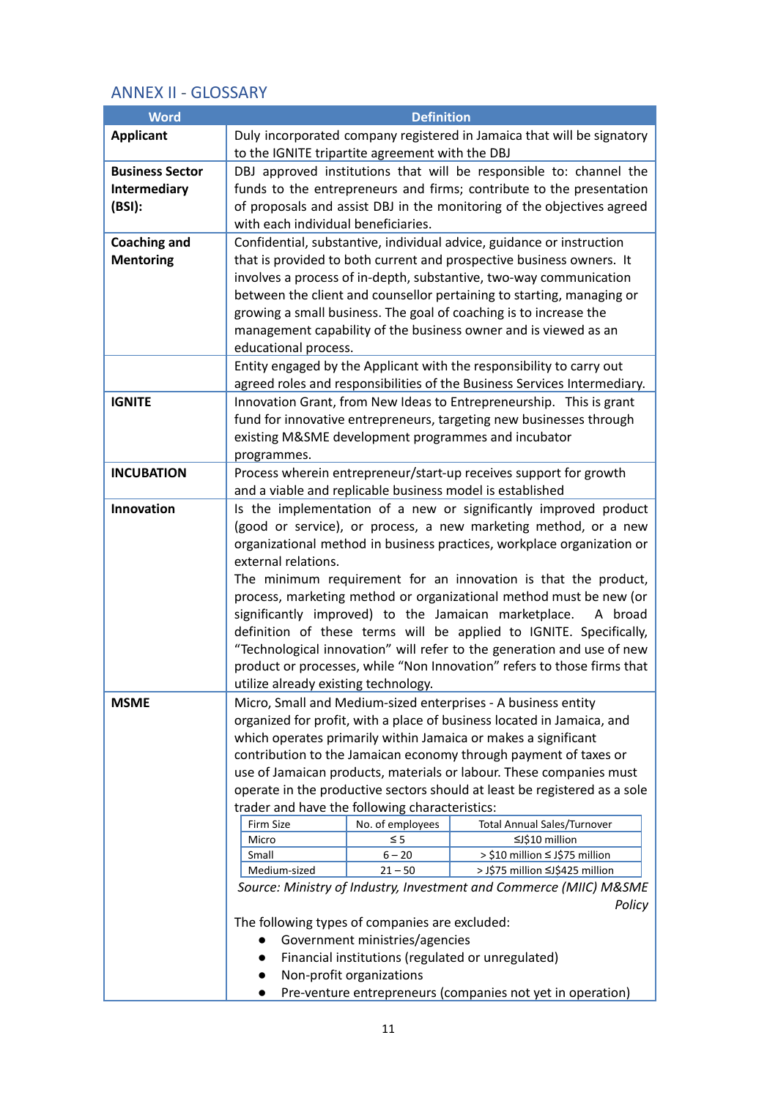# <span id="page-11-0"></span>ANNEX II - GLOSSARY

| <b>Word</b>            | <b>Definition</b>                                                                                                                            |                          |                                                                          |  |
|------------------------|----------------------------------------------------------------------------------------------------------------------------------------------|--------------------------|--------------------------------------------------------------------------|--|
| <b>Applicant</b>       | Duly incorporated company registered in Jamaica that will be signatory                                                                       |                          |                                                                          |  |
|                        | to the IGNITE tripartite agreement with the DBJ                                                                                              |                          |                                                                          |  |
| <b>Business Sector</b> | DBJ approved institutions that will be responsible to: channel the                                                                           |                          |                                                                          |  |
| <b>Intermediary</b>    |                                                                                                                                              |                          | funds to the entrepreneurs and firms; contribute to the presentation     |  |
| (BSI):                 |                                                                                                                                              |                          | of proposals and assist DBJ in the monitoring of the objectives agreed   |  |
|                        | with each individual beneficiaries.                                                                                                          |                          |                                                                          |  |
| <b>Coaching and</b>    |                                                                                                                                              |                          | Confidential, substantive, individual advice, guidance or instruction    |  |
| <b>Mentoring</b>       |                                                                                                                                              |                          | that is provided to both current and prospective business owners. It     |  |
|                        |                                                                                                                                              |                          | involves a process of in-depth, substantive, two-way communication       |  |
|                        |                                                                                                                                              |                          | between the client and counsellor pertaining to starting, managing or    |  |
|                        |                                                                                                                                              |                          | growing a small business. The goal of coaching is to increase the        |  |
|                        |                                                                                                                                              |                          | management capability of the business owner and is viewed as an          |  |
|                        | educational process.                                                                                                                         |                          |                                                                          |  |
|                        |                                                                                                                                              |                          | Entity engaged by the Applicant with the responsibility to carry out     |  |
|                        |                                                                                                                                              |                          | agreed roles and responsibilities of the Business Services Intermediary. |  |
| <b>IGNITE</b>          |                                                                                                                                              |                          | Innovation Grant, from New Ideas to Entrepreneurship. This is grant      |  |
|                        |                                                                                                                                              |                          | fund for innovative entrepreneurs, targeting new businesses through      |  |
|                        |                                                                                                                                              |                          | existing M&SME development programmes and incubator                      |  |
|                        | programmes.                                                                                                                                  |                          |                                                                          |  |
| <b>INCUBATION</b>      |                                                                                                                                              |                          | Process wherein entrepreneur/start-up receives support for growth        |  |
|                        |                                                                                                                                              |                          | and a viable and replicable business model is established                |  |
| Innovation             |                                                                                                                                              |                          | Is the implementation of a new or significantly improved product         |  |
|                        |                                                                                                                                              |                          | (good or service), or process, a new marketing method, or a new          |  |
|                        |                                                                                                                                              |                          | organizational method in business practices, workplace organization or   |  |
|                        | external relations.                                                                                                                          |                          |                                                                          |  |
|                        | The minimum requirement for an innovation is that the product,                                                                               |                          |                                                                          |  |
|                        | process, marketing method or organizational method must be new (or<br>significantly improved) to the Jamaican marketplace.                   |                          |                                                                          |  |
|                        |                                                                                                                                              |                          | A broad                                                                  |  |
|                        | definition of these terms will be applied to IGNITE. Specifically,<br>"Technological innovation" will refer to the generation and use of new |                          |                                                                          |  |
|                        |                                                                                                                                              |                          |                                                                          |  |
|                        | product or processes, while "Non Innovation" refers to those firms that<br>utilize already existing technology.                              |                          |                                                                          |  |
| <b>MSME</b>            | Micro, Small and Medium-sized enterprises - A business entity                                                                                |                          |                                                                          |  |
|                        | organized for profit, with a place of business located in Jamaica, and                                                                       |                          |                                                                          |  |
|                        |                                                                                                                                              |                          | which operates primarily within Jamaica or makes a significant           |  |
|                        |                                                                                                                                              |                          | contribution to the Jamaican economy through payment of taxes or         |  |
|                        | use of Jamaican products, materials or labour. These companies must                                                                          |                          |                                                                          |  |
|                        | operate in the productive sectors should at least be registered as a sole                                                                    |                          |                                                                          |  |
|                        | trader and have the following characteristics:                                                                                               |                          |                                                                          |  |
|                        | Firm Size<br>No. of employees<br><b>Total Annual Sales/Turnover</b>                                                                          |                          |                                                                          |  |
|                        | $\leq$ 5<br>≤J\$10 million<br>Micro                                                                                                          |                          |                                                                          |  |
|                        | $6 - 20$<br>Small                                                                                                                            |                          | > \$10 million ≤ J\$75 million                                           |  |
|                        | Medium-sized<br>> J\$75 million ≤J\$425 million<br>$21 - 50$                                                                                 |                          |                                                                          |  |
|                        | Source: Ministry of Industry, Investment and Commerce (MIIC) M&SME<br>Policy                                                                 |                          |                                                                          |  |
|                        | The following types of companies are excluded:                                                                                               |                          |                                                                          |  |
|                        | Government ministries/agencies                                                                                                               |                          |                                                                          |  |
|                        | Financial institutions (regulated or unregulated)<br>$\bullet$                                                                               |                          |                                                                          |  |
|                        |                                                                                                                                              | Non-profit organizations |                                                                          |  |
|                        |                                                                                                                                              |                          | Pre-venture entrepreneurs (companies not yet in operation)               |  |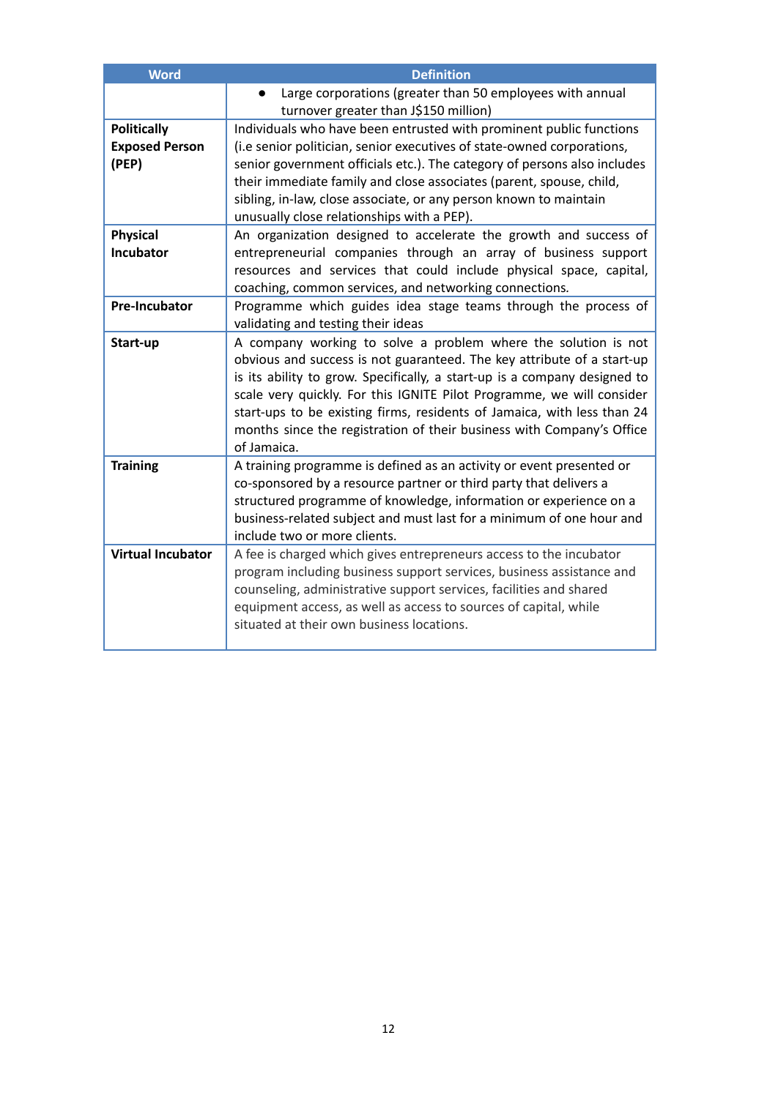| <b>Word</b>              | <b>Definition</b>                                                         |
|--------------------------|---------------------------------------------------------------------------|
|                          | Large corporations (greater than 50 employees with annual                 |
|                          | turnover greater than J\$150 million)                                     |
| <b>Politically</b>       | Individuals who have been entrusted with prominent public functions       |
| <b>Exposed Person</b>    | (i.e senior politician, senior executives of state-owned corporations,    |
| (PEP)                    | senior government officials etc.). The category of persons also includes  |
|                          | their immediate family and close associates (parent, spouse, child,       |
|                          | sibling, in-law, close associate, or any person known to maintain         |
|                          | unusually close relationships with a PEP).                                |
| <b>Physical</b>          | An organization designed to accelerate the growth and success of          |
| Incubator                | entrepreneurial companies through an array of business support            |
|                          | resources and services that could include physical space, capital,        |
|                          | coaching, common services, and networking connections.                    |
| <b>Pre-Incubator</b>     | Programme which guides idea stage teams through the process of            |
|                          | validating and testing their ideas                                        |
| Start-up                 | A company working to solve a problem where the solution is not            |
|                          | obvious and success is not guaranteed. The key attribute of a start-up    |
|                          | is its ability to grow. Specifically, a start-up is a company designed to |
|                          | scale very quickly. For this IGNITE Pilot Programme, we will consider     |
|                          | start-ups to be existing firms, residents of Jamaica, with less than 24   |
|                          | months since the registration of their business with Company's Office     |
|                          | of Jamaica.                                                               |
| <b>Training</b>          | A training programme is defined as an activity or event presented or      |
|                          | co-sponsored by a resource partner or third party that delivers a         |
|                          | structured programme of knowledge, information or experience on a         |
|                          | business-related subject and must last for a minimum of one hour and      |
|                          | include two or more clients.                                              |
| <b>Virtual Incubator</b> | A fee is charged which gives entrepreneurs access to the incubator        |
|                          | program including business support services, business assistance and      |
|                          | counseling, administrative support services, facilities and shared        |
|                          | equipment access, as well as access to sources of capital, while          |
|                          | situated at their own business locations.                                 |
|                          |                                                                           |